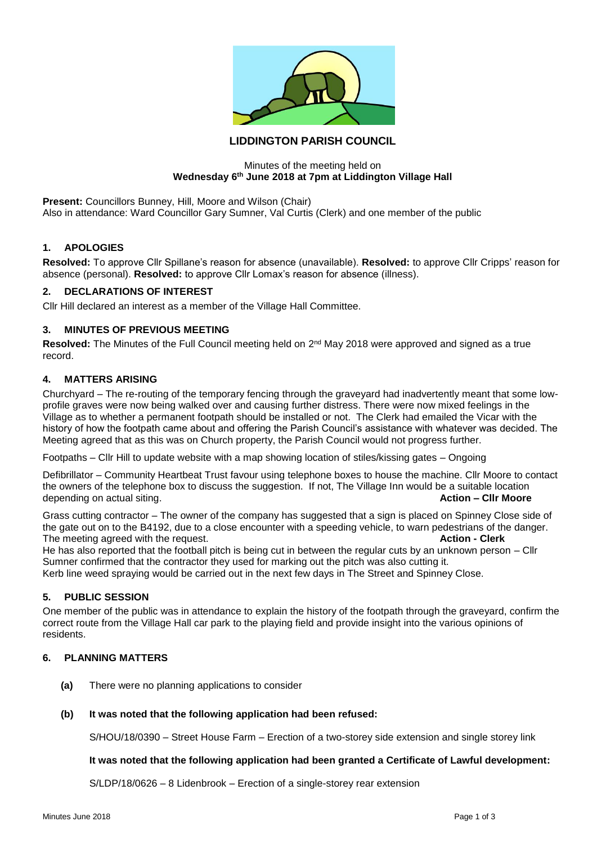

# **LIDDINGTON PARISH COUNCIL**

### Minutes of the meeting held on **Wednesday 6th June 2018 at 7pm at Liddington Village Hall**

**Present:** Councillors Bunney, Hill, Moore and Wilson (Chair) Also in attendance: Ward Councillor Gary Sumner, Val Curtis (Clerk) and one member of the public

### **1. APOLOGIES**

**Resolved:** To approve Cllr Spillane's reason for absence (unavailable). **Resolved:** to approve Cllr Cripps' reason for absence (personal). **Resolved:** to approve Cllr Lomax's reason for absence (illness).

### **2. DECLARATIONS OF INTEREST**

Cllr Hill declared an interest as a member of the Village Hall Committee.

## **3. MINUTES OF PREVIOUS MEETING**

Resolved: The Minutes of the Full Council meeting held on 2<sup>nd</sup> May 2018 were approved and signed as a true record.

### **4. MATTERS ARISING**

Churchyard – The re-routing of the temporary fencing through the graveyard had inadvertently meant that some lowprofile graves were now being walked over and causing further distress. There were now mixed feelings in the Village as to whether a permanent footpath should be installed or not. The Clerk had emailed the Vicar with the history of how the footpath came about and offering the Parish Council's assistance with whatever was decided. The Meeting agreed that as this was on Church property, the Parish Council would not progress further.

Footpaths – Cllr Hill to update website with a map showing location of stiles/kissing gates – Ongoing

Defibrillator – Community Heartbeat Trust favour using telephone boxes to house the machine. Cllr Moore to contact the owners of the telephone box to discuss the suggestion. If not, The Village Inn would be a suitable location depending on actual siting. **Action – Cllr Moore**

Grass cutting contractor – The owner of the company has suggested that a sign is placed on Spinney Close side of the gate out on to the B4192, due to a close encounter with a speeding vehicle, to warn pedestrians of the danger. The meeting agreed with the request. **Action - Clerk**

He has also reported that the football pitch is being cut in between the regular cuts by an unknown person – Cllr Sumner confirmed that the contractor they used for marking out the pitch was also cutting it. Kerb line weed spraying would be carried out in the next few days in The Street and Spinney Close.

## **5. PUBLIC SESSION**

One member of the public was in attendance to explain the history of the footpath through the graveyard, confirm the correct route from the Village Hall car park to the playing field and provide insight into the various opinions of residents.

### **6. PLANNING MATTERS**

**(a)** There were no planning applications to consider

#### **(b) It was noted that the following application had been refused:**

S/HOU/18/0390 – Street House Farm – Erection of a two-storey side extension and single storey link

#### **It was noted that the following application had been granted a Certificate of Lawful development:**

S/LDP/18/0626 – 8 Lidenbrook – Erection of a single-storey rear extension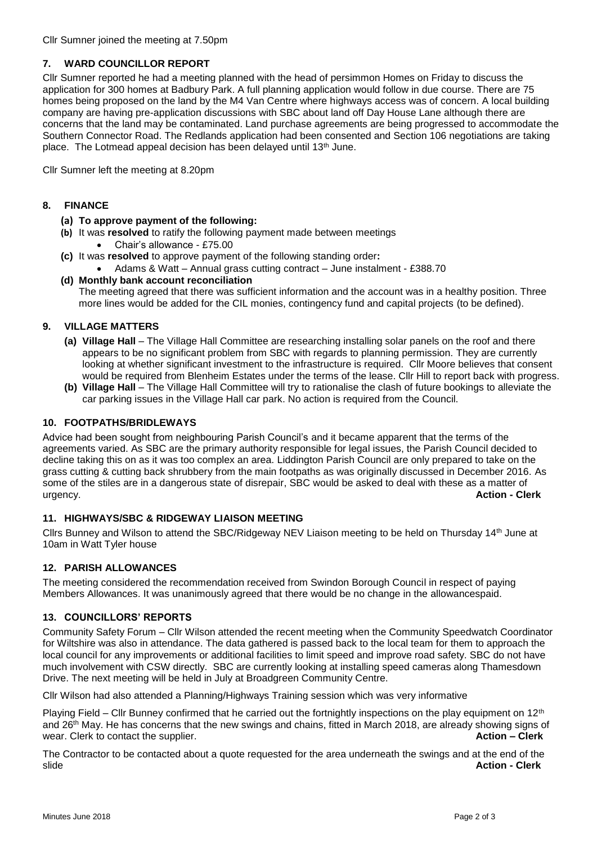## **7. WARD COUNCILLOR REPORT**

Cllr Sumner reported he had a meeting planned with the head of persimmon Homes on Friday to discuss the application for 300 homes at Badbury Park. A full planning application would follow in due course. There are 75 homes being proposed on the land by the M4 Van Centre where highways access was of concern. A local building company are having pre-application discussions with SBC about land off Day House Lane although there are concerns that the land may be contaminated. Land purchase agreements are being progressed to accommodate the Southern Connector Road. The Redlands application had been consented and Section 106 negotiations are taking place. The Lotmead appeal decision has been delayed until 13th June.

Cllr Sumner left the meeting at 8.20pm

### **8. FINANCE**

- **(a) To approve payment of the following:**
- **(b)** It was **resolved** to ratify the following payment made between meetings • Chair's allowance - £75.00
- **(c)** It was **resolved** to approve payment of the following standing order**:**
	- Adams & Watt Annual grass cutting contract June instalment £388.70
- **(d) Monthly bank account reconciliation** The meeting agreed that there was sufficient information and the account was in a healthy position. Three more lines would be added for the CIL monies, contingency fund and capital projects (to be defined).

# **9. VILLAGE MATTERS**

- **(a) Village Hall** The Village Hall Committee are researching installing solar panels on the roof and there appears to be no significant problem from SBC with regards to planning permission. They are currently looking at whether significant investment to the infrastructure is required. Cllr Moore believes that consent would be required from Blenheim Estates under the terms of the lease. Cllr Hill to report back with progress.
- **(b) Village Hall** The Village Hall Committee will try to rationalise the clash of future bookings to alleviate the car parking issues in the Village Hall car park. No action is required from the Council.

### **10. FOOTPATHS/BRIDLEWAYS**

Advice had been sought from neighbouring Parish Council's and it became apparent that the terms of the agreements varied. As SBC are the primary authority responsible for legal issues, the Parish Council decided to decline taking this on as it was too complex an area. Liddington Parish Council are only prepared to take on the grass cutting & cutting back shrubbery from the main footpaths as was originally discussed in December 2016. As some of the stiles are in a dangerous state of disrepair, SBC would be asked to deal with these as a matter of urgency. **Action - Clerk**

## **11. HIGHWAYS/SBC & RIDGEWAY LIAISON MEETING**

Cllrs Bunney and Wilson to attend the SBC/Ridgeway NEV Liaison meeting to be held on Thursday 14th June at 10am in Watt Tyler house

## **12. PARISH ALLOWANCES**

The meeting considered the recommendation received from Swindon Borough Council in respect of paying Members Allowances. It was unanimously agreed that there would be no change in the allowancespaid.

#### **13. COUNCILLORS' REPORTS**

Community Safety Forum – Cllr Wilson attended the recent meeting when the Community Speedwatch Coordinator for Wiltshire was also in attendance. The data gathered is passed back to the local team for them to approach the local council for any improvements or additional facilities to limit speed and improve road safety. SBC do not have much involvement with CSW directly. SBC are currently looking at installing speed cameras along Thamesdown Drive. The next meeting will be held in July at Broadgreen Community Centre.

Cllr Wilson had also attended a Planning/Highways Training session which was very informative

Playing Field – Cllr Bunney confirmed that he carried out the fortnightly inspections on the play equipment on  $12<sup>th</sup>$ and 26th May. He has concerns that the new swings and chains, fitted in March 2018, are already showing signs of wear. Clerk to contact the supplier. **Action – Clerk** and the supplier.

The Contractor to be contacted about a quote requested for the area underneath the swings and at the end of the slide **Action - Clerk**